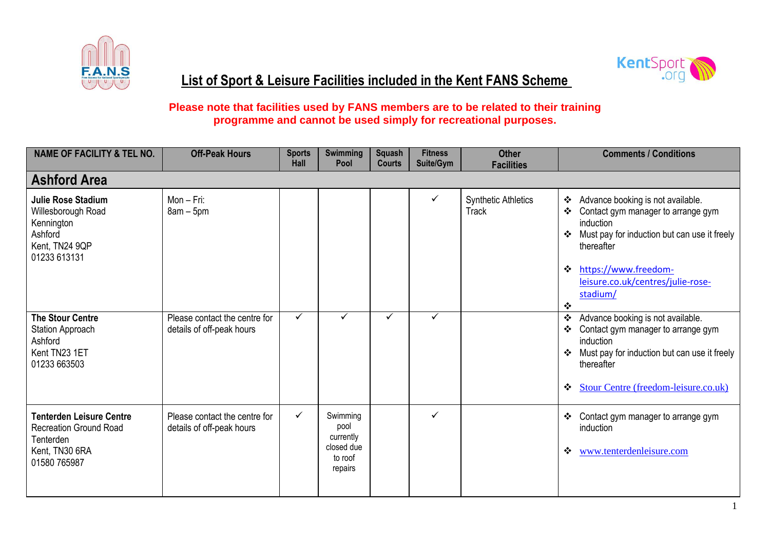



## **List of Sport & Leisure Facilities included in the Kent FANS Scheme**

## **Please note that facilities used by FANS members are to be related to their training programme and cannot be used simply for recreational purposes.**

| <b>NAME OF FACILITY &amp; TEL NO.</b>                                                                           | <b>Off-Peak Hours</b>                                      | <b>Sports</b><br>Hall | <b>Swimming</b><br>Pool                                           | Squash<br><b>Courts</b> | <b>Fitness</b><br>Suite/Gym | <b>Other</b><br><b>Facilities</b>          | <b>Comments / Conditions</b>                                                                                                                                                                                                                         |
|-----------------------------------------------------------------------------------------------------------------|------------------------------------------------------------|-----------------------|-------------------------------------------------------------------|-------------------------|-----------------------------|--------------------------------------------|------------------------------------------------------------------------------------------------------------------------------------------------------------------------------------------------------------------------------------------------------|
| <b>Ashford Area</b>                                                                                             |                                                            |                       |                                                                   |                         |                             |                                            |                                                                                                                                                                                                                                                      |
| <b>Julie Rose Stadium</b><br>Willesborough Road<br>Kennington<br>Ashford<br>Kent, TN24 9QP<br>01233 613131      | Mon - Fri:<br>$8am - 5pm$                                  |                       |                                                                   |                         | ✓                           | <b>Synthetic Athletics</b><br><b>Track</b> | Advance booking is not available.<br>❖<br>Contact gym manager to arrange gym<br>❖<br>induction<br>Must pay for induction but can use it freely<br>❖<br>thereafter<br>https://www.freedom-<br>❖<br>leisure.co.uk/centres/julie-rose-<br>stadium/<br>❖ |
| <b>The Stour Centre</b><br><b>Station Approach</b><br>Ashford<br>Kent TN23 1ET<br>01233 663503                  | Please contact the centre for<br>details of off-peak hours | $\checkmark$          | ✓                                                                 | ✓                       | ✓                           |                                            | Advance booking is not available.<br>❖<br>Contact gym manager to arrange gym<br>❖<br>induction<br>Must pay for induction but can use it freely<br>❖<br>thereafter<br><b>Stour Centre (freedom-leisure.co.uk)</b><br>❖                                |
| <b>Tenterden Leisure Centre</b><br><b>Recreation Ground Road</b><br>Tenterden<br>Kent, TN30 6RA<br>01580 765987 | Please contact the centre for<br>details of off-peak hours | $\checkmark$          | Swimming<br>pool<br>currently<br>closed due<br>to roof<br>repairs |                         | ✓                           |                                            | Contact gym manager to arrange gym<br>❖<br>induction<br>www.tenterdenleisure.com<br>❖                                                                                                                                                                |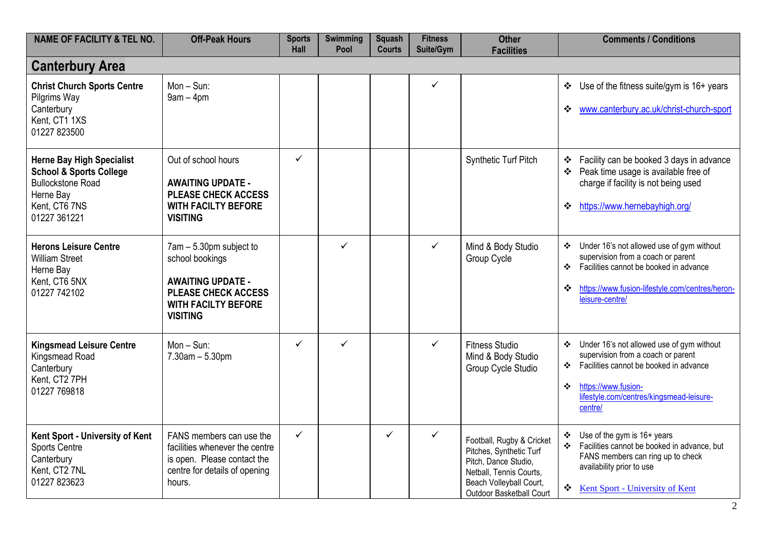| <b>NAME OF FACILITY &amp; TEL NO.</b>                                                                                                            | <b>Off-Peak Hours</b>                                                                                                                                 | <b>Sports</b><br>Hall | <b>Swimming</b><br>Pool | <b>Squash</b><br><b>Courts</b> | <b>Fitness</b><br>Suite/Gym | <b>Other</b><br><b>Facilities</b>                                                                                                                              | <b>Comments / Conditions</b>                                                                                                                                                                                                                                   |
|--------------------------------------------------------------------------------------------------------------------------------------------------|-------------------------------------------------------------------------------------------------------------------------------------------------------|-----------------------|-------------------------|--------------------------------|-----------------------------|----------------------------------------------------------------------------------------------------------------------------------------------------------------|----------------------------------------------------------------------------------------------------------------------------------------------------------------------------------------------------------------------------------------------------------------|
| <b>Canterbury Area</b>                                                                                                                           |                                                                                                                                                       |                       |                         |                                |                             |                                                                                                                                                                |                                                                                                                                                                                                                                                                |
| <b>Christ Church Sports Centre</b><br>Pilgrims Way<br>Canterbury<br>Kent, CT1 1XS<br>01227 823500                                                | $Mon-Sun:$<br>$9am - 4pm$                                                                                                                             |                       |                         |                                | $\checkmark$                |                                                                                                                                                                | $\cdot$ Use of the fitness suite/gym is 16+ years<br>www.canterbury.ac.uk/christ-church-sport<br>❖                                                                                                                                                             |
| <b>Herne Bay High Specialist</b><br><b>School &amp; Sports College</b><br><b>Bullockstone Road</b><br>Herne Bay<br>Kent, CT6 7NS<br>01227 361221 | Out of school hours<br><b>AWAITING UPDATE -</b><br><b>PLEASE CHECK ACCESS</b><br><b>WITH FACILTY BEFORE</b><br><b>VISITING</b>                        | $\checkmark$          |                         |                                |                             | Synthetic Turf Pitch                                                                                                                                           | Facility can be booked 3 days in advance<br>❖<br>Peak time usage is available free of<br>❖<br>charge if facility is not being used<br>https://www.hernebayhigh.org/<br>❖                                                                                       |
| <b>Herons Leisure Centre</b><br><b>William Street</b><br>Herne Bay<br>Kent, CT6 5NX<br>01227 742102                                              | 7am - 5.30pm subject to<br>school bookings<br><b>AWAITING UPDATE -</b><br><b>PLEASE CHECK ACCESS</b><br><b>WITH FACILTY BEFORE</b><br><b>VISITING</b> |                       | ✓                       |                                | $\checkmark$                | Mind & Body Studio<br>Group Cycle                                                                                                                              | Under 16's not allowed use of gym without<br>❖<br>supervision from a coach or parent<br>Facilities cannot be booked in advance<br>❖<br>https://www.fusion-lifestyle.com/centres/heron-<br>❖<br>leisure-centre/                                                 |
| <b>Kingsmead Leisure Centre</b><br>Kingsmead Road<br>Canterbury<br>Kent, CT2 7PH<br>01227 769818                                                 | $Mon - Sun$ :<br>$7.30$ am $- 5.30$ pm                                                                                                                | $\checkmark$          | $\checkmark$            |                                | $\checkmark$                | <b>Fitness Studio</b><br>Mind & Body Studio<br>Group Cycle Studio                                                                                              | Under 16's not allowed use of gym without<br>❖<br>supervision from a coach or parent<br>Facilities cannot be booked in advance<br>❖<br>https://www.fusion-<br>$\mathbf{r}^{\star}_{\mathbf{r}^{\star}}$<br>lifestyle.com/centres/kingsmead-leisure-<br>centre/ |
| Kent Sport - University of Kent<br><b>Sports Centre</b><br>Canterbury<br>Kent, CT2 7NL<br>01227 823623                                           | FANS members can use the<br>facilities whenever the centre<br>is open. Please contact the<br>centre for details of opening<br>hours.                  | $\checkmark$          |                         | $\checkmark$                   | $\checkmark$                | Football, Rugby & Cricket<br>Pitches, Synthetic Turf<br>Pitch, Dance Studio,<br>Netball, Tennis Courts,<br>Beach Volleyball Court,<br>Outdoor Basketball Court | Use of the gym is 16+ years<br>❖<br>Facilities cannot be booked in advance, but<br>$\mathbf{r}^{\star}_{\mathbf{r}^{\star}}$<br>FANS members can ring up to check<br>availability prior to use<br>❖<br>Kent Sport - University of Kent                         |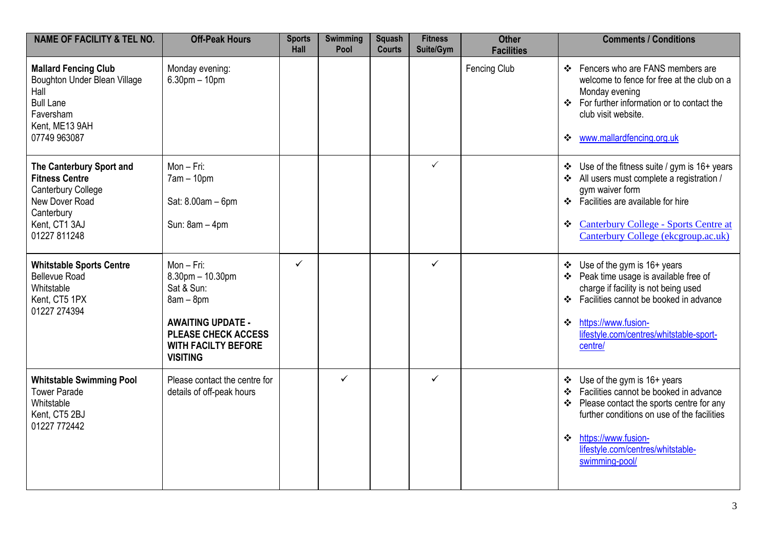| <b>NAME OF FACILITY &amp; TEL NO.</b>                                                                                                    | <b>Off-Peak Hours</b>                                                                                                                                                      | <b>Sports</b><br><b>Hall</b> | <b>Swimming</b><br>Pool | <b>Squash</b><br><b>Courts</b> | <b>Fitness</b><br>Suite/Gym | <b>Other</b><br><b>Facilities</b> | <b>Comments / Conditions</b>                                                                                                                                                                                                                                               |
|------------------------------------------------------------------------------------------------------------------------------------------|----------------------------------------------------------------------------------------------------------------------------------------------------------------------------|------------------------------|-------------------------|--------------------------------|-----------------------------|-----------------------------------|----------------------------------------------------------------------------------------------------------------------------------------------------------------------------------------------------------------------------------------------------------------------------|
| <b>Mallard Fencing Club</b><br>Boughton Under Blean Village<br>Hall<br><b>Bull Lane</b><br>Faversham<br>Kent, ME13 9AH<br>07749 963087   | Monday evening:<br>$6.30$ pm $-10$ pm                                                                                                                                      |                              |                         |                                |                             | Fencing Club                      | ❖ Fencers who are FANS members are<br>welcome to fence for free at the club on a<br>Monday evening<br>❖ For further information or to contact the<br>club visit website.<br>❖ www.mallardfencing.org.uk                                                                    |
| The Canterbury Sport and<br><b>Fitness Centre</b><br>Canterbury College<br>New Dover Road<br>Canterbury<br>Kent, CT1 3AJ<br>01227 811248 | $Mon-Fri:$<br>$7am - 10pm$<br>Sat: 8.00am - 6pm<br>Sun: 8am - 4pm                                                                                                          |                              |                         |                                | $\checkmark$                |                                   | $\div$ Use of the fitness suite / gym is 16+ years<br>All users must complete a registration /<br>gym waiver form<br>❖ Facilities are available for hire<br><b>Canterbury College - Sports Centre at</b><br>❖<br>Canterbury College (ekcgroup.ac.uk)                       |
| <b>Whitstable Sports Centre</b><br><b>Bellevue Road</b><br>Whitstable<br>Kent, CT5 1PX<br>01227 274394                                   | Mon-Fri:<br>$8.30$ pm $- 10.30$ pm<br>Sat & Sun:<br>$8am - 8pm$<br><b>AWAITING UPDATE -</b><br><b>PLEASE CHECK ACCESS</b><br><b>WITH FACILTY BEFORE</b><br><b>VISITING</b> | ✓                            |                         |                                | ✓                           |                                   | ❖ Use of the gym is 16+ years<br>❖ Peak time usage is available free of<br>charge if facility is not being used<br>❖ Facilities cannot be booked in advance<br>https://www.fusion-<br>$\cdot$<br>lifestyle.com/centres/whitstable-sport-<br>centre/                        |
| <b>Whitstable Swimming Pool</b><br><b>Tower Parade</b><br>Whitstable<br>Kent, CT5 2BJ<br>01227 772442                                    | Please contact the centre for<br>details of off-peak hours                                                                                                                 |                              | ✓                       |                                | $\checkmark$                |                                   | ❖ Use of the gym is 16+ years<br>Facilities cannot be booked in advance<br>❖<br>Please contact the sports centre for any<br>❖<br>further conditions on use of the facilities<br>https://www.fusion-<br>$\mathbf{A}$<br>lifestyle.com/centres/whitstable-<br>swimming-pool/ |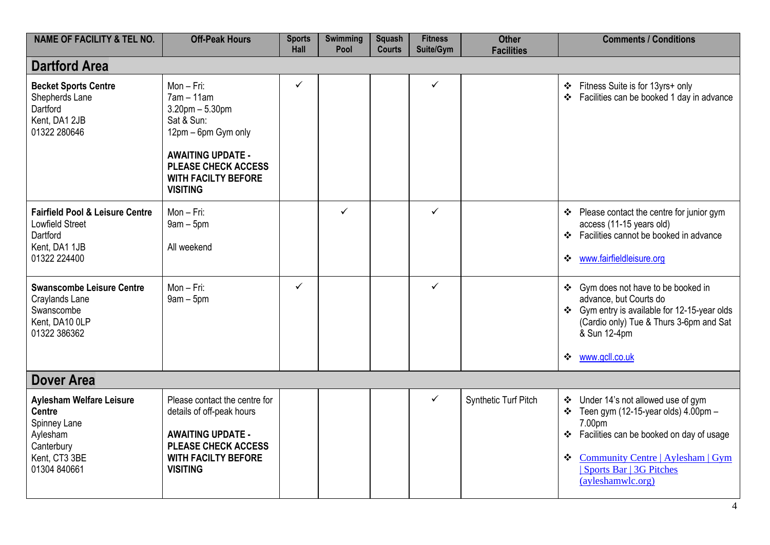| <b>NAME OF FACILITY &amp; TEL NO.</b>                                                                                | <b>Off-Peak Hours</b>                                                                                                                                                                               | <b>Sports</b><br>Hall | <b>Swimming</b><br>Pool | <b>Squash</b><br><b>Courts</b> | <b>Fitness</b><br>Suite/Gym | <b>Other</b><br><b>Facilities</b> | <b>Comments / Conditions</b>                                                                                                                                                                                                                                 |
|----------------------------------------------------------------------------------------------------------------------|-----------------------------------------------------------------------------------------------------------------------------------------------------------------------------------------------------|-----------------------|-------------------------|--------------------------------|-----------------------------|-----------------------------------|--------------------------------------------------------------------------------------------------------------------------------------------------------------------------------------------------------------------------------------------------------------|
| <b>Dartford Area</b>                                                                                                 |                                                                                                                                                                                                     |                       |                         |                                |                             |                                   |                                                                                                                                                                                                                                                              |
| <b>Becket Sports Centre</b><br>Shepherds Lane<br>Dartford<br>Kent, DA1 2JB<br>01322 280646                           | Mon - Fri:<br>$7am - 11am$<br>$3.20$ pm $- 5.30$ pm<br>Sat & Sun:<br>12pm - 6pm Gym only<br><b>AWAITING UPDATE -</b><br><b>PLEASE CHECK ACCESS</b><br><b>WITH FACILTY BEFORE</b><br><b>VISITING</b> | $\checkmark$          |                         |                                | $\checkmark$                |                                   | Fitness Suite is for 13yrs+ only<br>❖<br>Facilities can be booked 1 day in advance<br>$\bullet^{\bullet}_{\bullet} \bullet$                                                                                                                                  |
| <b>Fairfield Pool &amp; Leisure Centre</b><br><b>Lowfield Street</b><br>Dartford<br>Kent, DA1 1JB<br>01322 224400    | $Mon-Fri:$<br>$9am - 5pm$<br>All weekend                                                                                                                                                            |                       | $\checkmark$            |                                | $\checkmark$                |                                   | ❖ Please contact the centre for junior gym<br>access (11-15 years old)<br>Facilities cannot be booked in advance<br>$\frac{1}{2}$<br>www.fairfieldleisure.org<br>❖                                                                                           |
| <b>Swanscombe Leisure Centre</b><br>Craylands Lane<br>Swanscombe<br>Kent, DA10 0LP<br>01322 386362                   | Mon - Fri:<br>$9am - 5pm$                                                                                                                                                                           | $\checkmark$          |                         |                                | $\checkmark$                |                                   | Gym does not have to be booked in<br>❖<br>advance, but Courts do<br>Gym entry is available for 12-15-year olds<br>(Cardio only) Tue & Thurs 3-6pm and Sat<br>& Sun 12-4pm<br>www.gcll.co.uk<br>❖                                                             |
| <b>Dover Area</b>                                                                                                    |                                                                                                                                                                                                     |                       |                         |                                |                             |                                   |                                                                                                                                                                                                                                                              |
| Aylesham Welfare Leisure<br><b>Centre</b><br>Spinney Lane<br>Aylesham<br>Canterbury<br>Kent, CT3 3BE<br>01304 840661 | Please contact the centre for<br>details of off-peak hours<br><b>AWAITING UPDATE -</b><br><b>PLEASE CHECK ACCESS</b><br><b>WITH FACILTY BEFORE</b><br><b>VISITING</b>                               |                       |                         |                                | $\checkmark$                | Synthetic Turf Pitch              | ❖ Under 14's not allowed use of gym<br>Teen gym (12-15-year olds) $4.00 \text{pm}$ -<br>❖<br>7.00pm<br>Facilities can be booked on day of usage<br>❖<br><b>Community Centre   Aylesham   Gym</b><br>❖<br><b>Sports Bar   3G Pitches</b><br>(ayleshamwlc.org) |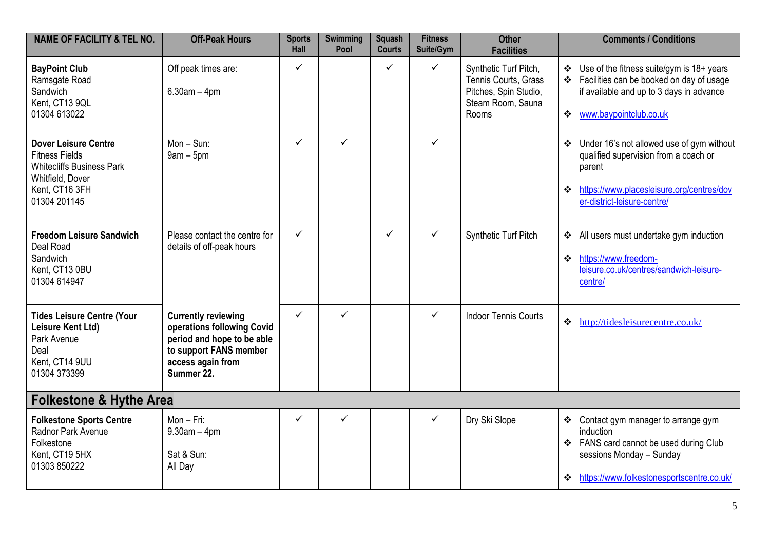| <b>NAME OF FACILITY &amp; TEL NO.</b>                                                                                                          | <b>Off-Peak Hours</b>                                                                                                                               | <b>Sports</b><br><b>Hall</b> | <b>Swimming</b><br>Pool | <b>Squash</b><br><b>Courts</b> | <b>Fitness</b><br>Suite/Gym | <b>Other</b><br><b>Facilities</b>                                                                    | <b>Comments / Conditions</b>                                                                                                                                                    |
|------------------------------------------------------------------------------------------------------------------------------------------------|-----------------------------------------------------------------------------------------------------------------------------------------------------|------------------------------|-------------------------|--------------------------------|-----------------------------|------------------------------------------------------------------------------------------------------|---------------------------------------------------------------------------------------------------------------------------------------------------------------------------------|
| <b>BayPoint Club</b><br>Ramsgate Road<br>Sandwich<br>Kent, CT13 9QL<br>01304 613022                                                            | Off peak times are:<br>$6.30am - 4pm$                                                                                                               | ✓                            |                         | ✓                              | $\checkmark$                | Synthetic Turf Pitch,<br>Tennis Courts, Grass<br>Pitches, Spin Studio,<br>Steam Room, Sauna<br>Rooms | Use of the fitness suite/gym is $18+$ years<br>$\bullet$<br>❖ Facilities can be booked on day of usage<br>if available and up to 3 days in advance<br>❖ www.baypointclub.co.uk  |
| <b>Dover Leisure Centre</b><br><b>Fitness Fields</b><br><b>Whitecliffs Business Park</b><br>Whitfield, Dover<br>Kent, CT16 3FH<br>01304 201145 | $Mon-Sun:$<br>$9am - 5pm$                                                                                                                           | $\checkmark$                 | ✓                       |                                | $\checkmark$                |                                                                                                      | ❖ Under 16's not allowed use of gym without<br>qualified supervision from a coach or<br>parent<br>https://www.placesleisure.org/centres/dov<br>❖<br>er-district-leisure-centre/ |
| <b>Freedom Leisure Sandwich</b><br>Deal Road<br>Sandwich<br>Kent, CT13 0BU<br>01304 614947                                                     | Please contact the centre for<br>details of off-peak hours                                                                                          | $\checkmark$                 |                         | $\checkmark$                   | $\checkmark$                | <b>Synthetic Turf Pitch</b>                                                                          | All users must undertake gym induction<br>https://www.freedom-<br>❖<br>leisure.co.uk/centres/sandwich-leisure-<br>centre/                                                       |
| <b>Tides Leisure Centre (Your</b><br>Leisure Kent Ltd)<br>Park Avenue<br>Deal<br>Kent, CT14 9UU<br>01304 373399                                | <b>Currently reviewing</b><br>operations following Covid<br>period and hope to be able<br>to support FANS member<br>access again from<br>Summer 22. | $\checkmark$                 | ✓                       |                                | $\checkmark$                | <b>Indoor Tennis Courts</b>                                                                          | $\cdot \cdot \cdot$ http://tidesleisurecentre.co.uk/                                                                                                                            |
| <b>Folkestone &amp; Hythe Area</b>                                                                                                             |                                                                                                                                                     |                              |                         |                                |                             |                                                                                                      |                                                                                                                                                                                 |
| <b>Folkestone Sports Centre</b><br>Radnor Park Avenue<br>Folkestone<br>Kent, CT19 5HX<br>01303 850222                                          | Mon - Fri:<br>$9.30$ am $-4$ pm<br>Sat & Sun:<br>All Day                                                                                            | $\checkmark$                 | ✓                       |                                | $\checkmark$                | Dry Ski Slope                                                                                        | ❖ Contact gym manager to arrange gym<br>induction<br>❖ FANS card cannot be used during Club<br>sessions Monday - Sunday<br>https://www.folkestonesportscentre.co.uk/<br>❖       |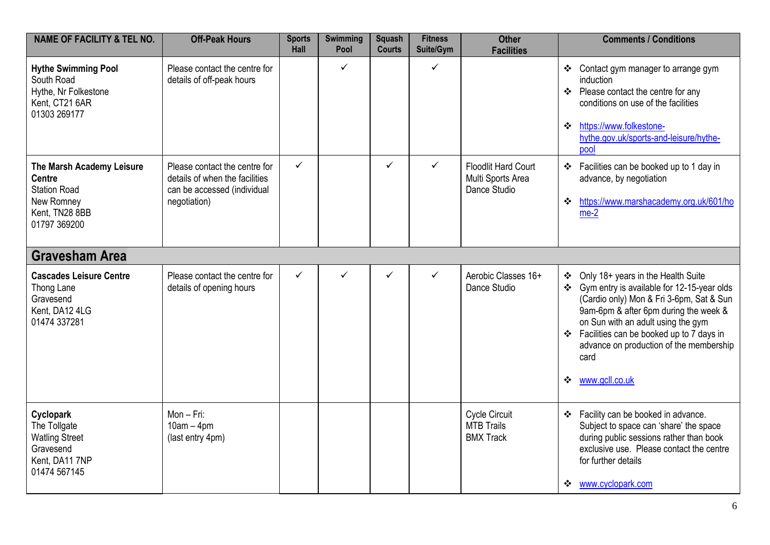| <b>NAME OF FACILITY &amp; TEL NO.</b>                                                                             | <b>Off-Peak Hours</b>                                                                                          | <b>Sports</b><br>Hall | <b>Swimming</b><br>Pool | <b>Squash</b><br><b>Courts</b> | <b>Fitness</b><br>Suite/Gym | <b>Other</b><br><b>Facilities</b>                               | <b>Comments / Conditions</b>                                                                                                                                                                                                                                                                                                     |
|-------------------------------------------------------------------------------------------------------------------|----------------------------------------------------------------------------------------------------------------|-----------------------|-------------------------|--------------------------------|-----------------------------|-----------------------------------------------------------------|----------------------------------------------------------------------------------------------------------------------------------------------------------------------------------------------------------------------------------------------------------------------------------------------------------------------------------|
| <b>Hythe Swimming Pool</b><br>South Road<br>Hythe, Nr Folkestone<br>Kent, CT21 6AR<br>01303 269177                | Please contact the centre for<br>details of off-peak hours                                                     |                       | ✓                       |                                | ✓                           |                                                                 | Contact gym manager to arrange gym<br>❖<br>induction<br>❖ Please contact the centre for any<br>conditions on use of the facilities<br>https://www.folkestone-<br>$\cdot$<br>hythe.gov.uk/sports-and-leisure/hythe-<br>pool                                                                                                       |
| The Marsh Academy Leisure<br><b>Centre</b><br><b>Station Road</b><br>New Romney<br>Kent, TN28 8BB<br>01797 369200 | Please contact the centre for<br>details of when the facilities<br>can be accessed (individual<br>negotiation) | $\checkmark$          |                         | $\checkmark$                   | $\checkmark$                | <b>Floodlit Hard Court</b><br>Multi Sports Area<br>Dance Studio | ❖ Facilities can be booked up to 1 day in<br>advance, by negotiation<br>https://www.marshacademy.org.uk/601/ho<br>$\cdot$<br>$me-2$                                                                                                                                                                                              |
| <b>Gravesham Area</b>                                                                                             |                                                                                                                |                       |                         |                                |                             |                                                                 |                                                                                                                                                                                                                                                                                                                                  |
| <b>Cascades Leisure Centre</b><br>Thong Lane<br>Gravesend<br>Kent, DA12 4LG<br>01474 337281                       | Please contact the centre for<br>details of opening hours                                                      | ✓                     | ✓                       | ✓                              | $\checkmark$                | Aerobic Classes 16+<br>Dance Studio                             | ❖ Only 18+ years in the Health Suite<br>Gym entry is available for 12-15-year olds<br>(Cardio only) Mon & Fri 3-6pm, Sat & Sun<br>9am-6pm & after 6pm during the week &<br>on Sun with an adult using the gym<br>Facilities can be booked up to 7 days in<br>advance on production of the membership<br>card<br>❖ www.gcll.co.uk |
| Cyclopark<br>The Tollgate<br><b>Watling Street</b><br>Gravesend<br>Kent, DA11 7NP<br>01474 567145                 | Mon-Fri:<br>$10am - 4pm$<br>(last entry 4pm)                                                                   |                       |                         |                                |                             | Cycle Circuit<br><b>MTB Trails</b><br><b>BMX Track</b>          | ❖ Facility can be booked in advance.<br>Subject to space can 'share' the space<br>during public sessions rather than book<br>exclusive use. Please contact the centre<br>for further details<br>www.cyclopark.com<br>❖                                                                                                           |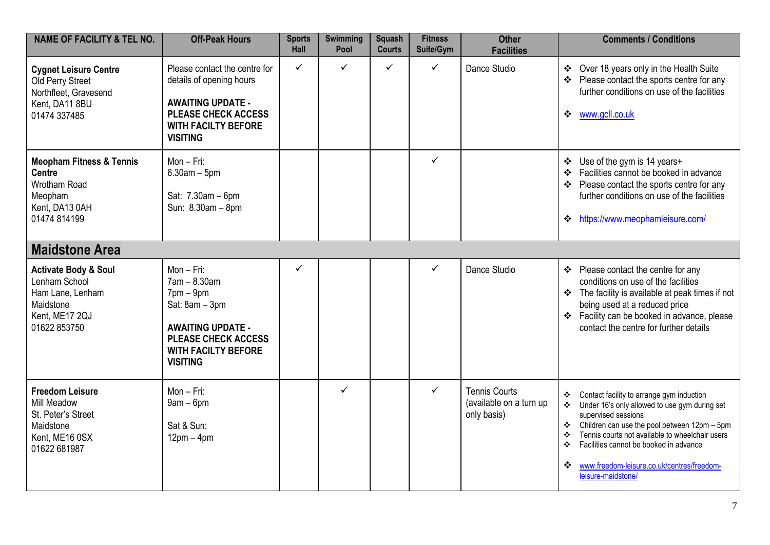| <b>NAME OF FACILITY &amp; TEL NO.</b>                                                                               | <b>Off-Peak Hours</b>                                                                                                                                                     | <b>Sports</b><br>Hall | <b>Swimming</b><br>Pool | <b>Squash</b><br><b>Courts</b> | <b>Fitness</b><br>Suite/Gym | <b>Other</b><br><b>Facilities</b>                              | <b>Comments / Conditions</b>                                                                                                                                                                                                                                                                                                                                     |
|---------------------------------------------------------------------------------------------------------------------|---------------------------------------------------------------------------------------------------------------------------------------------------------------------------|-----------------------|-------------------------|--------------------------------|-----------------------------|----------------------------------------------------------------|------------------------------------------------------------------------------------------------------------------------------------------------------------------------------------------------------------------------------------------------------------------------------------------------------------------------------------------------------------------|
| <b>Cygnet Leisure Centre</b><br>Old Perry Street<br>Northfleet, Gravesend<br>Kent, DA11 8BU<br>01474 337485         | Please contact the centre for<br>details of opening hours<br><b>AWAITING UPDATE -</b><br><b>PLEASE CHECK ACCESS</b><br><b>WITH FACILTY BEFORE</b><br><b>VISITING</b>      | ✓                     | $\checkmark$            | $\checkmark$                   | ✓                           | Dance Studio                                                   | ❖ Over 18 years only in the Health Suite<br>❖ Please contact the sports centre for any<br>further conditions on use of the facilities<br>www.gcll.co.uk<br>❖                                                                                                                                                                                                     |
| <b>Meopham Fitness &amp; Tennis</b><br><b>Centre</b><br>Wrotham Road<br>Meopham<br>Kent, DA13 0AH<br>01474 814199   | Mon-Fri:<br>$6.30am - 5pm$<br>Sat: 7.30am - 6pm<br>Sun: 8.30am - 8pm                                                                                                      |                       |                         |                                | $\checkmark$                |                                                                | ❖ Use of the gym is 14 years+<br>Facilities cannot be booked in advance<br>Please contact the sports centre for any<br>further conditions on use of the facilities<br>https://www.meophamleisure.com/<br>❖                                                                                                                                                       |
| <b>Maidstone Area</b>                                                                                               |                                                                                                                                                                           |                       |                         |                                |                             |                                                                |                                                                                                                                                                                                                                                                                                                                                                  |
| <b>Activate Body &amp; Soul</b><br>Lenham School<br>Ham Lane, Lenham<br>Maidstone<br>Kent, ME17 2QJ<br>01622 853750 | Mon-Fri:<br>$7am - 8.30am$<br>$7$ pm $-$ 9pm<br>Sat: 8am - 3pm<br><b>AWAITING UPDATE -</b><br><b>PLEASE CHECK ACCESS</b><br><b>WITH FACILTY BEFORE</b><br><b>VISITING</b> | ✓                     |                         |                                | ✓                           | Dance Studio                                                   | ❖ Please contact the centre for any<br>conditions on use of the facilities<br>❖ The facility is available at peak times if not<br>being used at a reduced price<br>❖ Facility can be booked in advance, please<br>contact the centre for further details                                                                                                         |
| <b>Freedom Leisure</b><br><b>Mill Meadow</b><br>St. Peter's Street<br>Maidstone<br>Kent, ME16 0SX<br>01622 681987   | Mon-Fri:<br>$9am - 6pm$<br>Sat & Sun:<br>$12pm - 4pm$                                                                                                                     |                       | ✓                       |                                | ✓                           | <b>Tennis Courts</b><br>(available on a turn up<br>only basis) | Contact facility to arrange gym induction<br>❖<br>Under 16's only allowed to use gym during set<br>❖<br>supervised sessions<br>Children can use the pool between 12pm - 5pm<br>❖<br>Tennis courts not available to wheelchair users<br>٠<br>Facilities cannot be booked in advance<br>❖<br>www.freedom-leisure.co.uk/centres/freedom-<br>❖<br>leisure-maidstone/ |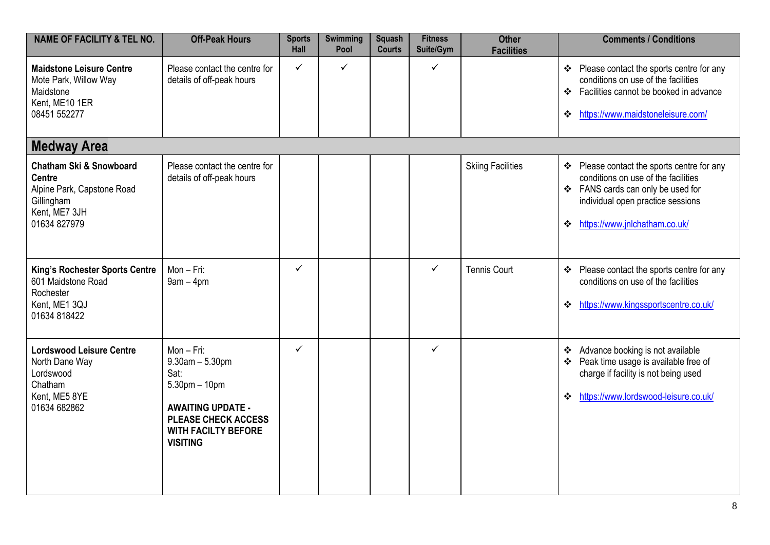| <b>NAME OF FACILITY &amp; TEL NO.</b>                                                                                            | <b>Off-Peak Hours</b>                                                                                                                                                      | <b>Sports</b><br>Hall | <b>Swimming</b><br>Pool | <b>Squash</b><br><b>Courts</b> | <b>Fitness</b><br>Suite/Gym | <b>Other</b><br><b>Facilities</b> | <b>Comments / Conditions</b>                                                                                                                                                                         |
|----------------------------------------------------------------------------------------------------------------------------------|----------------------------------------------------------------------------------------------------------------------------------------------------------------------------|-----------------------|-------------------------|--------------------------------|-----------------------------|-----------------------------------|------------------------------------------------------------------------------------------------------------------------------------------------------------------------------------------------------|
| <b>Maidstone Leisure Centre</b><br>Mote Park, Willow Way<br>Maidstone<br>Kent, ME10 1ER<br>08451 552277                          | Please contact the centre for<br>details of off-peak hours                                                                                                                 | $\checkmark$          | $\checkmark$            |                                | $\checkmark$                |                                   | ❖ Please contact the sports centre for any<br>conditions on use of the facilities<br>Facilities cannot be booked in advance<br>❖<br>https://www.maidstoneleisure.com/<br>❖                           |
| <b>Medway Area</b>                                                                                                               |                                                                                                                                                                            |                       |                         |                                |                             |                                   |                                                                                                                                                                                                      |
| <b>Chatham Ski &amp; Snowboard</b><br><b>Centre</b><br>Alpine Park, Capstone Road<br>Gillingham<br>Kent, ME7 3JH<br>01634 827979 | Please contact the centre for<br>details of off-peak hours                                                                                                                 |                       |                         |                                |                             | <b>Skiing Facilities</b>          | Please contact the sports centre for any<br>❖<br>conditions on use of the facilities<br>❖ FANS cards can only be used for<br>individual open practice sessions<br>https://www.jnlchatham.co.uk/<br>❖ |
| <b>King's Rochester Sports Centre</b><br>601 Maidstone Road<br>Rochester<br>Kent, ME1 3QJ<br>01634 818422                        | Mon-Fri:<br>$9am - 4pm$                                                                                                                                                    | $\checkmark$          |                         |                                | $\checkmark$                | <b>Tennis Court</b>               | ❖ Please contact the sports centre for any<br>conditions on use of the facilities<br>https://www.kingssportscentre.co.uk/<br>❖                                                                       |
| <b>Lordswood Leisure Centre</b><br>North Dane Way<br>Lordswood<br>Chatham<br>Kent, ME5 8YE<br>01634 682862                       | Mon-Fri:<br>$9.30$ am $- 5.30$ pm<br>Sat:<br>$5.30$ pm $-10$ pm<br><b>AWAITING UPDATE -</b><br><b>PLEASE CHECK ACCESS</b><br><b>WITH FACILTY BEFORE</b><br><b>VISITING</b> | $\checkmark$          |                         |                                | $\checkmark$                |                                   | Advance booking is not available<br>❖<br>Peak time usage is available free of<br>❖<br>charge if facility is not being used<br>https://www.lordswood-leisure.co.uk/<br>❖                              |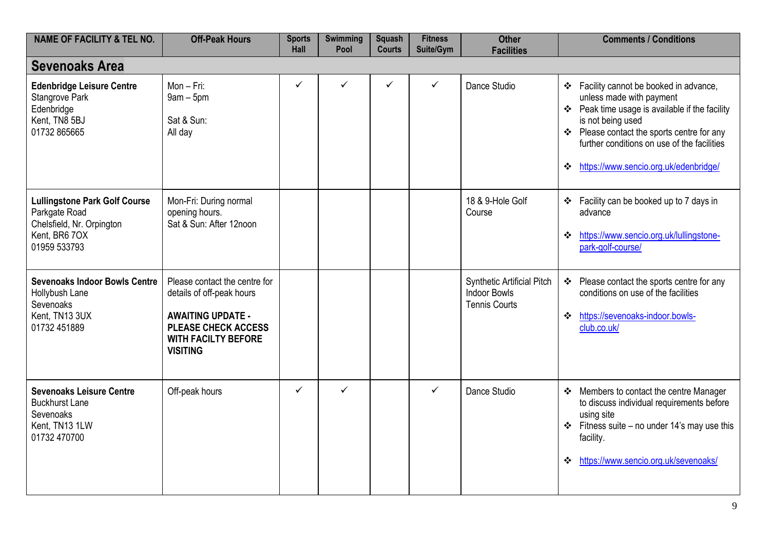| <b>NAME OF FACILITY &amp; TEL NO.</b>                                                                               | <b>Off-Peak Hours</b>                                                                                                                                                 | <b>Sports</b><br><b>Hall</b> | Swimming<br>Pool | <b>Squash</b><br><b>Courts</b> | <b>Fitness</b><br>Suite/Gym | <b>Other</b><br><b>Facilities</b>                                                | <b>Comments / Conditions</b>                                                                                                                                                                                                                                                          |
|---------------------------------------------------------------------------------------------------------------------|-----------------------------------------------------------------------------------------------------------------------------------------------------------------------|------------------------------|------------------|--------------------------------|-----------------------------|----------------------------------------------------------------------------------|---------------------------------------------------------------------------------------------------------------------------------------------------------------------------------------------------------------------------------------------------------------------------------------|
| <b>Sevenoaks Area</b>                                                                                               |                                                                                                                                                                       |                              |                  |                                |                             |                                                                                  |                                                                                                                                                                                                                                                                                       |
| <b>Edenbridge Leisure Centre</b><br>Stangrove Park<br>Edenbridge<br>Kent, TN8 5BJ<br>01732 865665                   | Mon-Fri:<br>$9am - 5pm$<br>Sat & Sun:<br>All day                                                                                                                      | ✓                            | ✓                | ✓                              | $\checkmark$                | Dance Studio                                                                     | ❖ Facility cannot be booked in advance,<br>unless made with payment<br>❖ Peak time usage is available if the facility<br>is not being used<br>❖ Please contact the sports centre for any<br>further conditions on use of the facilities<br>https://www.sencio.org.uk/edenbridge/<br>❖ |
| <b>Lullingstone Park Golf Course</b><br>Parkgate Road<br>Chelsfield, Nr. Orpington<br>Kent, BR6 7OX<br>01959 533793 | Mon-Fri: During normal<br>opening hours.<br>Sat & Sun: After 12noon                                                                                                   |                              |                  |                                |                             | 18 & 9-Hole Golf<br>Course                                                       | ❖ Facility can be booked up to 7 days in<br>advance<br>https://www.sencio.org.uk/lullingstone-<br>❖<br>park-golf-course/                                                                                                                                                              |
| <b>Sevenoaks Indoor Bowls Centre</b><br>Hollybush Lane<br>Sevenoaks<br>Kent, TN13 3UX<br>01732 451889               | Please contact the centre for<br>details of off-peak hours<br><b>AWAITING UPDATE -</b><br><b>PLEASE CHECK ACCESS</b><br><b>WITH FACILTY BEFORE</b><br><b>VISITING</b> |                              |                  |                                |                             | <b>Synthetic Artificial Pitch</b><br><b>Indoor Bowls</b><br><b>Tennis Courts</b> | ❖ Please contact the sports centre for any<br>conditions on use of the facilities<br>https://sevenoaks-indoor.bowls-<br>❖<br>club.co.uk/                                                                                                                                              |
| <b>Sevenoaks Leisure Centre</b><br><b>Buckhurst Lane</b><br>Sevenoaks<br>Kent, TN13 1LW<br>01732 470700             | Off-peak hours                                                                                                                                                        | ✓                            | $\checkmark$     |                                | ✓                           | Dance Studio                                                                     | ❖ Members to contact the centre Manager<br>to discuss individual requirements before<br>using site<br>$\div$ Fitness suite – no under 14's may use this<br>facility.<br>https://www.sencio.org.uk/sevenoaks/<br>❖                                                                     |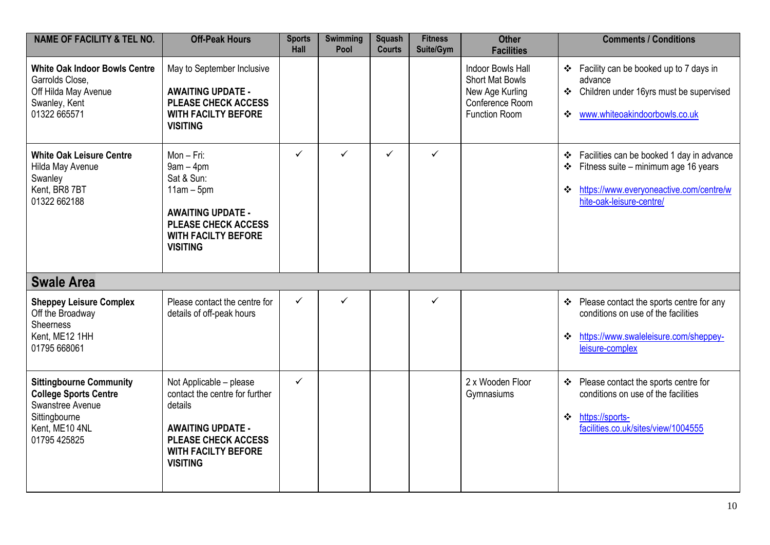| <b>NAME OF FACILITY &amp; TEL NO.</b>                                                                                                 | <b>Off-Peak Hours</b>                                                                                                                                                           | <b>Sports</b><br>Hall | <b>Swimming</b><br>Pool | <b>Squash</b><br><b>Courts</b> | <b>Fitness</b><br>Suite/Gym | <b>Other</b><br><b>Facilities</b>                                                                         | <b>Comments / Conditions</b>                                                                                                                                            |
|---------------------------------------------------------------------------------------------------------------------------------------|---------------------------------------------------------------------------------------------------------------------------------------------------------------------------------|-----------------------|-------------------------|--------------------------------|-----------------------------|-----------------------------------------------------------------------------------------------------------|-------------------------------------------------------------------------------------------------------------------------------------------------------------------------|
| <b>White Oak Indoor Bowls Centre</b><br>Garrolds Close,<br>Off Hilda May Avenue<br>Swanley, Kent<br>01322 665571                      | May to September Inclusive<br><b>AWAITING UPDATE -</b><br><b>PLEASE CHECK ACCESS</b><br><b>WITH FACILTY BEFORE</b><br><b>VISITING</b>                                           |                       |                         |                                |                             | <b>Indoor Bowls Hall</b><br><b>Short Mat Bowls</b><br>New Age Kurling<br>Conference Room<br>Function Room | ❖ Facility can be booked up to 7 days in<br>advance<br>Children under 16yrs must be supervised<br>$\frac{1}{2}$<br>www.whiteoakindoorbowls.co.uk<br>❖                   |
| <b>White Oak Leisure Centre</b><br>Hilda May Avenue<br>Swanley<br>Kent, BR8 7BT<br>01322 662188                                       | $Mon-Fri:$<br>$9am - 4pm$<br>Sat & Sun:<br>$11am - 5pm$<br><b>AWAITING UPDATE -</b><br><b>PLEASE CHECK ACCESS</b><br><b>WITH FACILTY BEFORE</b><br><b>VISITING</b>              | $\checkmark$          | $\checkmark$            | $\checkmark$                   | $\checkmark$                |                                                                                                           | Facilities can be booked 1 day in advance<br>❖<br>Fitness suite - minimum age 16 years<br>❖<br>https://www.everyoneactive.com/centre/w<br>❖<br>hite-oak-leisure-centre/ |
| <b>Swale Area</b>                                                                                                                     |                                                                                                                                                                                 |                       |                         |                                |                             |                                                                                                           |                                                                                                                                                                         |
| <b>Sheppey Leisure Complex</b><br>Off the Broadway<br><b>Sheerness</b><br>Kent, ME12 1HH<br>01795 668061                              | Please contact the centre for<br>details of off-peak hours                                                                                                                      | $\checkmark$          | $\checkmark$            |                                | ✓                           |                                                                                                           | Please contact the sports centre for any<br>$\frac{1}{2}$<br>conditions on use of the facilities<br>https://www.swaleleisure.com/sheppey-<br>❖<br>leisure-complex       |
| <b>Sittingbourne Community</b><br><b>College Sports Centre</b><br>Swanstree Avenue<br>Sittingbourne<br>Kent, ME10 4NL<br>01795 425825 | Not Applicable - please<br>contact the centre for further<br>details<br><b>AWAITING UPDATE -</b><br><b>PLEASE CHECK ACCESS</b><br><b>WITH FACILTY BEFORE</b><br><b>VISITING</b> | $\checkmark$          |                         |                                |                             | 2 x Wooden Floor<br>Gymnasiums                                                                            | ❖ Please contact the sports centre for<br>conditions on use of the facilities<br>$\ddot{\bullet}$<br>https://sports-<br>facilities.co.uk/sites/view/1004555             |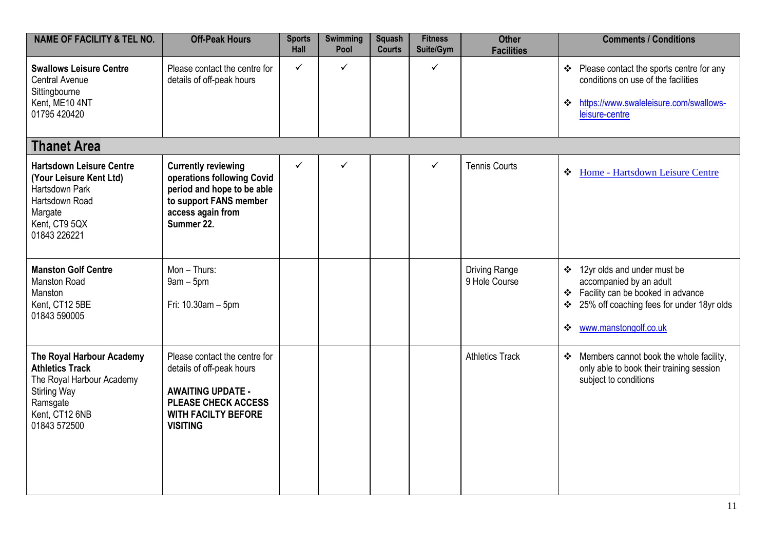| <b>NAME OF FACILITY &amp; TEL NO.</b>                                                                                                                 | <b>Off-Peak Hours</b>                                                                                                                                          | <b>Sports</b><br>Hall | <b>Swimming</b><br>Pool | <b>Squash</b><br><b>Courts</b> | <b>Fitness</b><br>Suite/Gym | <b>Other</b><br><b>Facilities</b>     | <b>Comments / Conditions</b>                                                                                                                                                                                      |
|-------------------------------------------------------------------------------------------------------------------------------------------------------|----------------------------------------------------------------------------------------------------------------------------------------------------------------|-----------------------|-------------------------|--------------------------------|-----------------------------|---------------------------------------|-------------------------------------------------------------------------------------------------------------------------------------------------------------------------------------------------------------------|
| <b>Swallows Leisure Centre</b><br><b>Central Avenue</b><br>Sittingbourne<br>Kent, ME10 4NT<br>01795 420420                                            | Please contact the centre for<br>details of off-peak hours                                                                                                     | ✓                     | $\checkmark$            |                                | ✓                           |                                       | Please contact the sports centre for any<br>❖<br>conditions on use of the facilities<br>https://www.swaleleisure.com/swallows-<br>❖<br>leisure-centre                                                             |
| <b>Thanet Area</b>                                                                                                                                    |                                                                                                                                                                |                       |                         |                                |                             |                                       |                                                                                                                                                                                                                   |
| <b>Hartsdown Leisure Centre</b><br>(Your Leisure Kent Ltd)<br>Hartsdown Park<br>Hartsdown Road<br>Margate<br>Kent, CT9 5QX<br>01843 226221            | <b>Currently reviewing</b><br>operations following Covid<br>period and hope to be able<br>to support FANS member<br>access again from<br>Summer 22.            | ✓                     | $\checkmark$            |                                | ✓                           | <b>Tennis Courts</b>                  | $\bullet$<br>Home - Hartsdown Leisure Centre                                                                                                                                                                      |
| <b>Manston Golf Centre</b><br><b>Manston Road</b><br>Manston<br>Kent, CT12 5BE<br>01843 590005                                                        | $Mon - Thus:$<br>$9am - 5pm$<br>Fri: 10.30am - 5pm                                                                                                             |                       |                         |                                |                             | <b>Driving Range</b><br>9 Hole Course | 12yr olds and under must be<br>$\frac{1}{2}$<br>accompanied by an adult<br>Facility can be booked in advance<br>$\bullet$<br>25% off coaching fees for under 18yr olds<br>$\bullet$<br>www.manstongolf.co.uk<br>❖ |
| The Royal Harbour Academy<br><b>Athletics Track</b><br>The Royal Harbour Academy<br><b>Stirling Way</b><br>Ramsgate<br>Kent, CT12 6NB<br>01843 572500 | Please contact the centre for<br>details of off-peak hours<br><b>AWAITING UPDATE -</b><br>PLEASE CHECK ACCESS<br><b>WITH FACILTY BEFORE</b><br><b>VISITING</b> |                       |                         |                                |                             | <b>Athletics Track</b>                | Members cannot book the whole facility,<br>$\bullet$<br>only able to book their training session<br>subject to conditions                                                                                         |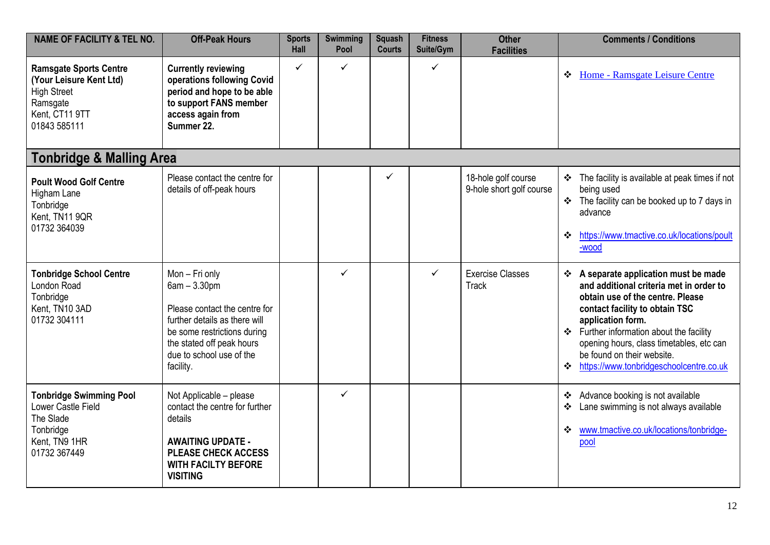| <b>NAME OF FACILITY &amp; TEL NO.</b>                                                                                        | <b>Off-Peak Hours</b>                                                                                                                                                                                   | <b>Sports</b><br><b>Hall</b> | <b>Swimming</b><br>Pool | <b>Squash</b><br><b>Courts</b> | <b>Fitness</b><br>Suite/Gym | <b>Other</b><br><b>Facilities</b>               | <b>Comments / Conditions</b>                                                                                                                                                                                                                                                                                                                      |
|------------------------------------------------------------------------------------------------------------------------------|---------------------------------------------------------------------------------------------------------------------------------------------------------------------------------------------------------|------------------------------|-------------------------|--------------------------------|-----------------------------|-------------------------------------------------|---------------------------------------------------------------------------------------------------------------------------------------------------------------------------------------------------------------------------------------------------------------------------------------------------------------------------------------------------|
| <b>Ramsgate Sports Centre</b><br>(Your Leisure Kent Ltd)<br><b>High Street</b><br>Ramsgate<br>Kent, CT11 9TT<br>01843 585111 | <b>Currently reviewing</b><br>operations following Covid<br>period and hope to be able<br>to support FANS member<br>access again from<br>Summer 22.                                                     | ✓                            | ✓                       |                                | ✓                           |                                                 | Home - Ramsgate Leisure Centre<br>❖                                                                                                                                                                                                                                                                                                               |
| <b>Tonbridge &amp; Malling Area</b>                                                                                          |                                                                                                                                                                                                         |                              |                         |                                |                             |                                                 |                                                                                                                                                                                                                                                                                                                                                   |
| <b>Poult Wood Golf Centre</b><br>Higham Lane<br>Tonbridge<br>Kent, TN11 9QR<br>01732 364039                                  | Please contact the centre for<br>details of off-peak hours                                                                                                                                              |                              |                         | ✓                              |                             | 18-hole golf course<br>9-hole short golf course | ❖ The facility is available at peak times if not<br>being used<br>❖ The facility can be booked up to 7 days in<br>advance<br>https://www.tmactive.co.uk/locations/poult<br>❖<br>-wood                                                                                                                                                             |
| <b>Tonbridge School Centre</b><br>London Road<br>Tonbridge<br>Kent, TN10 3AD<br>01732 304111                                 | Mon - Fri only<br>$6am - 3.30pm$<br>Please contact the centre for<br>further details as there will<br>be some restrictions during<br>the stated off peak hours<br>due to school use of the<br>facility. |                              | ✓                       |                                | ✓                           | <b>Exercise Classes</b><br><b>Track</b>         | ❖ A separate application must be made<br>and additional criteria met in order to<br>obtain use of the centre. Please<br>contact facility to obtain TSC<br>application form.<br>❖ Further information about the facility<br>opening hours, class timetables, etc can<br>be found on their website.<br>https://www.tonbridgeschoolcentre.co.uk<br>❖ |
| <b>Tonbridge Swimming Pool</b><br>Lower Castle Field<br>The Slade<br>Tonbridge<br>Kent, TN9 1HR<br>01732 367449              | Not Applicable - please<br>contact the centre for further<br>details<br><b>AWAITING UPDATE -</b><br><b>PLEASE CHECK ACCESS</b><br><b>WITH FACILTY BEFORE</b><br><b>VISITING</b>                         |                              | ✓                       |                                |                             |                                                 | Advance booking is not available<br>❖<br>Lane swimming is not always available<br>❖<br>www.tmactive.co.uk/locations/tonbridge-<br>❖<br>pool                                                                                                                                                                                                       |